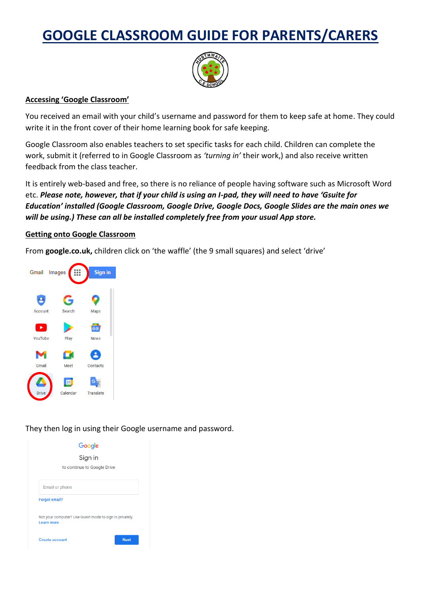# **GOOGLE CLASSROOM GUIDE FOR PARENTS/CARERS**



## **Accessing 'Google Classroom'**

You received an email with your child's username and password for them to keep safe at home. They could write it in the front cover of their home learning book for safe keeping.

Google Classroom also enables teachers to set specific tasks for each child. Children can complete the work, submit it (referred to in Google Classroom as *'turning in'* their work,) and also receive written feedback from the class teacher.

It is entirely web-based and free, so there is no reliance of people having software such as Microsoft Word etc. *Please note, however, that if your child is using an I-pad, they will need to have 'Gsuite for Education' installed (Google Classroom, Google Drive, Google Docs, Google Slides are the main ones we will be using.) These can all be installed completely free from your usual App store.*

## **Getting onto Google Classroom**

From **google.co.uk,** children click on 'the waffle' (the 9 small squares) and select 'drive'



They then log in using their Google username and password.

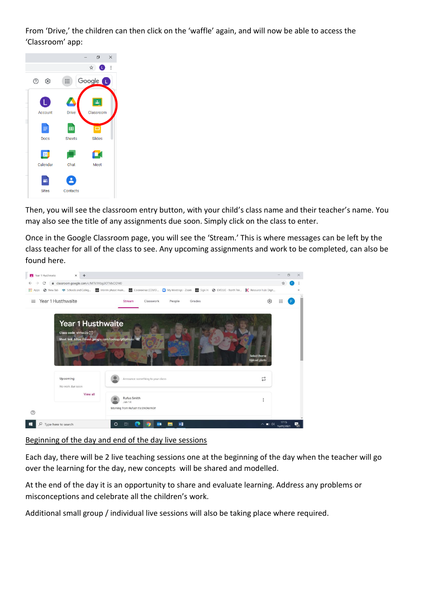From 'Drive,' the children can then click on the 'waffle' again, and will now be able to access the 'Classroom' app:



Then, you will see the classroom entry button, with your child's class name and their teacher's name. You may also see the title of any assignments due soon. Simply click on the class to enter.

Once in the Google Classroom page, you will see the 'Stream.' This is where messages can be left by the class teacher for all of the class to see. Any upcoming assignments and work to be completed, can also be found here.



## Beginning of the day and end of the day live sessions

Each day, there will be 2 live teaching sessions one at the beginning of the day when the teacher will go over the learning for the day, new concepts will be shared and modelled.

At the end of the day it is an opportunity to share and evaluate learning. Address any problems or misconceptions and celebrate all the children's work.

Additional small group / individual live sessions will also be taking place where required.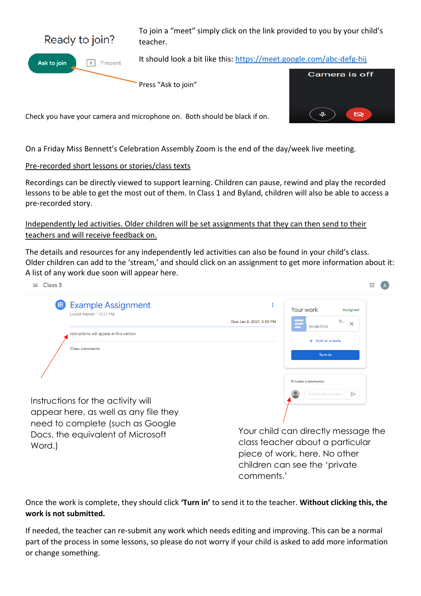

Ask to join T<sup>+</sup> Present To join a "meet" simply click on the link provided to you by your child's teacher.

It should look a bit like this:<https://meet.google.com/abc-defg-hij>

Press "Ask to join"



Check you have your camera and microphone on. Both should be black if on.

On a Friday Miss Bennett's Celebration Assembly Zoom is the end of the day/week live meeting.

## Pre-recorded short lessons or stories/class texts

Recordings can be directly viewed to support learning. Children can pause, rewind and play the recorded lessons to be able to get the most out of them. In Class 1 and Byland, children will also be able to access a pre-recorded story.

Independently led activities. Older children will be set assignments that they can then send to their teachers and will receive feedback on.

The details and resources for any independently led activities can also be found in your child's class. Older children can add to the 'stream,' and should click on an assignment to get more information about it: A list of any work due soon will appear here.

| Class 3<br>$=$                                                                                                                                                 | $\mathbf{}$                                                                                                                                |
|----------------------------------------------------------------------------------------------------------------------------------------------------------------|--------------------------------------------------------------------------------------------------------------------------------------------|
| <b>Example Assignment</b><br>圓<br>Louise Rayner · 12:17 PM<br>Instructions will appear in this section.<br><b>Class comments</b>                               | Your work<br><b>Assigned</b><br>E<br>Due Jan 8, 2021, 3:30 PM<br>$\times$<br>Google Docs<br>+ Add or create<br><b>Turn</b> in              |
| Instructions for the activity will<br>appear here, as well as any file they<br>need to complete (such as Google<br>Docs, the equivalent of Microsoft<br>Word.) | <b>Private comments</b><br>$\Rightarrow$<br>Add private comment<br>Your child can directly message the<br>class teacher about a particular |

piece of work, here. No other children can see the 'private comments.'

Once the work is complete, they should click **'Turn in'** to send it to the teacher. **Without clicking this, the work is not submitted.**

If needed, the teacher can re-submit any work which needs editing and improving. This can be a normal part of the process in some lessons, so please do not worry if your child is asked to add more information or change something.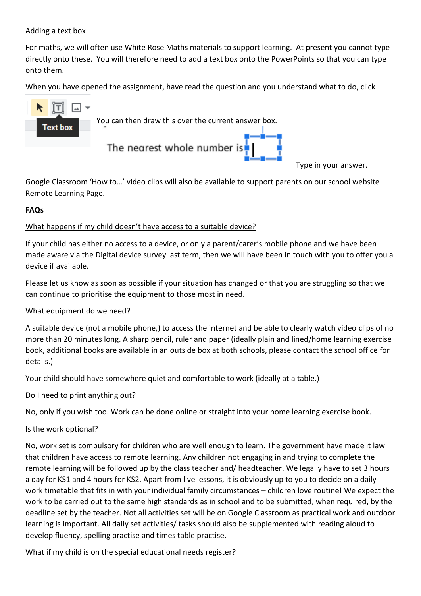## Adding a text box

For maths, we will often use White Rose Maths materials to support learning. At present you cannot type directly onto these. You will therefore need to add a text box onto the PowerPoints so that you can type onto them.

When you have opened the assignment, have read the question and you understand what to do, click



Type in your answer.

Google Classroom 'How to…' video clips will also be available to support parents on our school website Remote Learning Page.

## **FAQs**

#### What happens if my child doesn't have access to a suitable device?

If your child has either no access to a device, or only a parent/carer's mobile phone and we have been made aware via the Digital device survey last term, then we will have been in touch with you to offer you a device if available.

Please let us know as soon as possible if your situation has changed or that you are struggling so that we can continue to prioritise the equipment to those most in need.

#### What equipment do we need?

A suitable device (not a mobile phone,) to access the internet and be able to clearly watch video clips of no more than 20 minutes long. A sharp pencil, ruler and paper (ideally plain and lined/home learning exercise book, additional books are available in an outside box at both schools, please contact the school office for details.)

Your child should have somewhere quiet and comfortable to work (ideally at a table.)

#### Do I need to print anything out?

No, only if you wish too. Work can be done online or straight into your home learning exercise book.

#### Is the work optional?

No, work set is compulsory for children who are well enough to learn. The government have made it law that children have access to remote learning. Any children not engaging in and trying to complete the remote learning will be followed up by the class teacher and/ headteacher. We legally have to set 3 hours a day for KS1 and 4 hours for KS2. Apart from live lessons, it is obviously up to you to decide on a daily work timetable that fits in with your individual family circumstances – children love routine! We expect the work to be carried out to the same high standards as in school and to be submitted, when required, by the deadline set by the teacher. Not all activities set will be on Google Classroom as practical work and outdoor learning is important. All daily set activities/ tasks should also be supplemented with reading aloud to develop fluency, spelling practise and times table practise.

#### What if my child is on the special educational needs register?